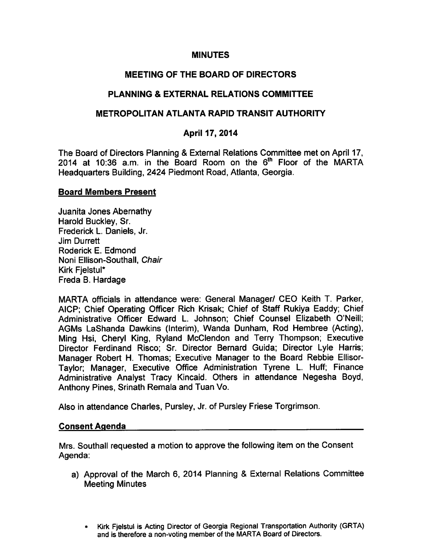### MINUTES

# MEETING OF THE BOARD OF DIRECTORS

## PLANNING EXTERNAL RELATIONS COMMITTEE

## METROPOLITAN ATLANTA RAPID TRANSIT AUTHORITY

## April 17, 2014

The Board of Directors Planning & External Relations Committee met on April 17, 2014 at 10:36 a.m. in the Board Room on the  $6<sup>th</sup>$  Floor of the MARTA Headquarters Building, 2424 Piedmont Road, Atlanta, Georgia.

#### Board Members Present

Juanita Jones Abernathy Harold Buckley, Sr. Frederick L. Daniels, Jr. Jim Durrett Roderick E. Edmond Noni Ellison-Southall, Chair Kirk Fjelstul\* Freda B. Hardage

MARTA officials in attendance were: General Manager/ CEO Keith T. Parker, AICP; Chief Operating Officer Rich Krisak; Chief of Staff Rukiya Eaddy; Chief Administrative Officer Edward L. Johnson; Chief Counsel Elizabeth O'Neill; AGMs LaShanda Dawkins (Interim), Wanda Dunham, Rod Hembree (Acting), Ming Hsi, Cheryl King, Ryland McClendon and Terry Thompson; Executive Director Ferdinand Risco; Sr. Director Bernard Guida; Director Lyle Harris; Manager Robert H. Thomas; Executive Manager to the Board Rebbie Ellisor-Taylor; Manager, Executive Office Administration Tyrene L. Huff; Finance Administrative Analyst Tracy Kincaid. Others in attendance Negesha Boyd, Anthony Pines, Srinath Remala and Tuan Vo.

Also in attendance Charles, Pursley, Jr. of Pursley Friese Torgrimson.

#### Consent Agenda

Mrs. Southall requested a motion to approve the following item on the Consent Agenda:

- a) Approval of the March 6, 2014 Planning & External Relations Committee Meeting Minutes
	- Kirk Fjelstul is Acting Director of Georgia Regional Transportation Authority (GRTA) and is therefore a non-voting member of the MARTA Board of Directors.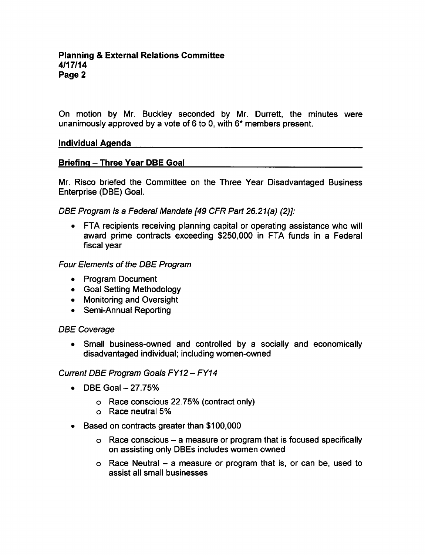On motion by Mr. Buckley seconded by Mr. Durrett, the minutes were unanimously approved by a vote of 6 to 0, with  $6*$  members present.

## Individual Agenda

## Briefing - Three Year DBE Goal

Mr. Risco briefed the Committee on the Three Year Disadvantaged Business Enterprise (DBE) Goal.

DBE Program is a Federal Mandate [49 CFR Part 26.21(a) (2)]:

• FTA recipients receiving planning capital or operating assistance who will award prime contracts exceeding \$250,000 in FTA funds in a Federal fiscal year

Four Elements of the DBE Program

- Program Document
- Goal Setting Methodology
- Monitoring and Oversight
- Semi-Annual Reporting

## DBE Coverage

• Small business-owned and controlled by a socially and economically disadvantaged individual; including women-owned

## Current DBE Program Goals FY12 - FY14

- $\text{DBE}$  Goal  $-27.75\%$  $\bullet$ 
	- Race conscious 22.75% (contract only)
	- Race neutral 5%
- $\bullet$ Based on contracts greater than \$100,000
	- $\circ$  Race conscious a measure or program that is focused specifically on assisting only DBEs includes women owned
	- $\circ$  Race Neutral a measure or program that is, or can be, used to assist all small businesses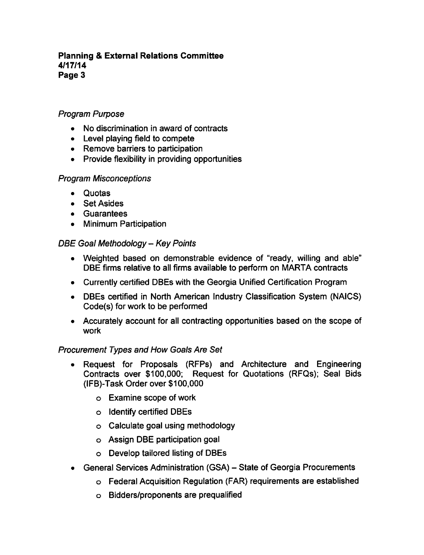### Planning External Relations Committee 4/17/14 Page 3

# Program Purpose

- No discrimination in award of contracts
- Level playing field to compete
- Remove barriers to participation
- Provide flexibility in providing opportunities

# Program Misconceptions

- Quotas
- Set Asides
- Guarantees
- Minimum Participation  $\bullet$

## DBE Goal Methodology - Key Points

- Weighted based on demonstrable evidence of "ready, willing and able" DBE firms relative to all firms available to perform on MARTA contracts
- Currently certified DBEs with the Georgia Unified Certification Program
- DBEs certified in North American Industry Classification System (NAICS) Code(s) for work to be performed
- Accurately account for all contracting opportunities based on the scope of work

## Procurement Types and How Goals Are Set

- Request for Proposals (RFPs) and Architecture and Engineering Contracts over \$100,000; Request for Quotations (RFQs); Seal Bids (IFB)-Task Order over \$100,000
	- Examine scope of work
	- Identify certified DBEs
	- Calculate goal using methodology
	- Assign DBE participation goal
	- Develop tailored listing of DBEs
- General Services Administration (GSA) State of Georgia Procurements  $\bullet$ 
	- Federal Acquisition Regulation (FAR) requirements are established
	- Bidders/proponents are prequalified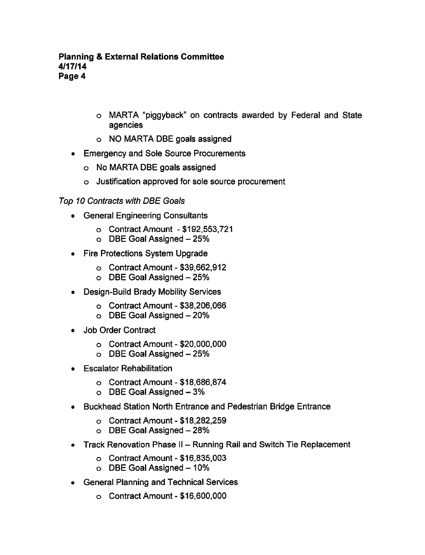- MARTA "piggyback" on contracts awarded by Federal and State agencies
- NO MARTA DBE goals assigned
- Emergency and Sole Source Procurements
	- No MARTA DBE goals assigned
	- Justification approved for sole source procurement

# Top 10 Contracts with DBE Goals

- General Engineering Consultants
	- Contract Amount -\$192,553,721
	- o DBE Goal Assigned 25%
- Fire Protections System Upgrade  $\bullet$ 
	- $\circ$  Contract Amount \$39,662,912
	- $\circ$  DBE Goal Assigned  $-25%$
- Design-Build Brady Mobility Services  $\bullet$ 
	- $\circ$  Contract Amount \$38,206,066
	- $\circ$  DBE Goal Assigned  $-20\%$
- Job Order Contract  $\bullet$ 
	- $\circ$  Contract Amount \$20,000,000
	- $\circ$  DBE Goal Assigned  $-25%$
- Escalator Rehabilitation
	- $\circ$  Contract Amount \$18,686,874
	- $\circ$  DBE Goal Assigned  $-3\%$
- Buckhead Station North Entrance and Pedestrian Bridge Entrance
	- $\circ$  Contract Amount \$18,282,259
	- $\circ$  DBE Goal Assigned  $-28%$
- Track Renovation Phase II Running Rail and Switch Tie Replacement
	- $\circ$  Contract Amount \$16,835,003
	- $\circ$  DBE Goal Assigned  $-10\%$
- General Planning and Technical Services  $\bullet$ 
	- o Contract Amount \$16,600,000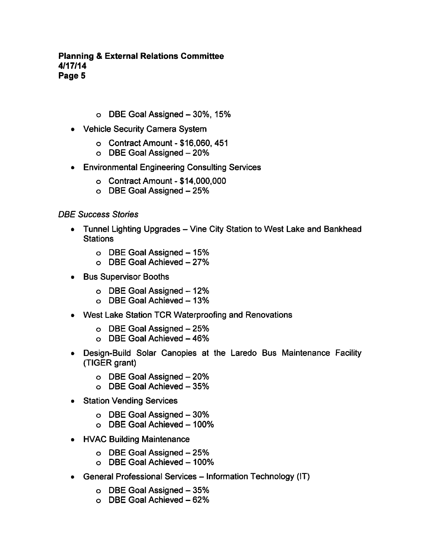## **Planning & External Relations Committee** 4/17/14 Page 5

- $\circ$  DBE Goal Assigned  $-30\%$ , 15%
- Vehicle Security Camera System
	- $\circ$  Contract Amount \$16,060, 451
	- o DBE Goal Assigned 20%
- Environmental Engineering Consulting Services  $\bullet$ 
	- o Contract Amount \$14,000,000
	- o DBE Goal Assigned 25%

## DBE Success Stories

- Tunnel Lighting Upgrades Vine City Station to West Lake and Bankhead  $\bullet$ **Stations** 
	- $\circ$  DBE Goal Assigned  $-15%$
	- $\circ$  DBE Goal Achieved 27%
- Bus Supervisor Booths  $\bullet$ 
	- $\circ$  DBE Goal Assigned  $-12\%$
	- $o$  DBE Goal Achieved  $-13%$
- West Lake Station TCR Waterproofing and Renovations
	- $\circ$  DBE Goal Assigned  $-25%$
	- $\circ$  DBE Goal Achieved  $-46\%$
- Design-Build Solar Canopies at the Laredo Bus Maintenance Facility  $\bullet$ (TIGER grant)
	- o DBE Goal Assigned 20%
	- $\circ$  DBE Goal Achieved  $-35%$
- **Station Vending Services**  $\bullet$ 
	- $\circ$  DBE Goal Assigned  $-30\%$
	- $\circ$  DBE Goal Achieved 100%
- HVAC Building Maintenance  $\bullet$ 
	- o DBE Goal Assigned 25%
	- $\circ$  DBE Goal Achieved 100%
- General Professional Services Information Technology (IT)  $\bullet$ 
	- $\circ$  DBE Goal Assigned  $-35%$
	- $\circ$  DBE Goal Achieved  $-62\%$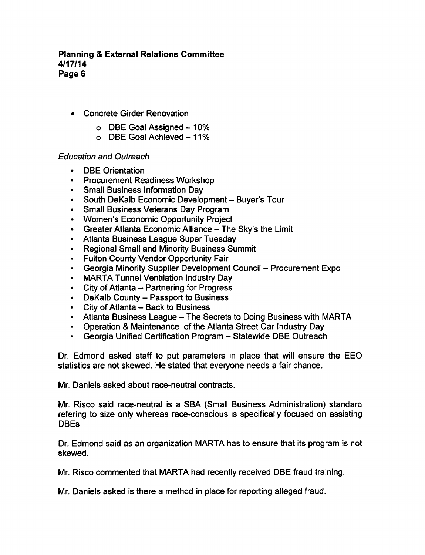- Concrete Girder Renovation
	- $\circ$  DBE Goal Assigned  $-10\%$
	- $\circ$  DBE Goal Achieved 11%

## Education and Outreach

- DBE Orientation
- Procurement Readiness Workshop
- Small Business Information Dav
- South DeKalb Economic Development Buyer's Tour
- Small Business Veterans Day Program
- Women's Economic Opportunity Project
- Greater Atlanta Economic Alliance The Sky's the Limit
- Atlanta Business League Super Tuesday
- Regional Small and Minority Business Summit
- Fulton County Vendor Opportunity Fair
- Georgia Minority Supplier Development Council Procurement Expo
- MARTA Tunnel Ventilation Industry Day
- City of Atlanta Partnering for Progress
- DeKalb County Passport to Business
- $\cdot$  City of Atlanta Back to Business
- Atlanta Business League The Secrets to Doing Business with MARTA
- Operation & Maintenance of the Atlanta Street Car Industry Day
- $\bullet$ Georgia Unified Certification Program - Statewide DBE Outreach

Dr. Edmond asked staff to put parameters in place that will ensure the EEO statistics are not skewed. He stated that everyone needs a fair chance.

Mr. Daniels asked about race-neutral contracts.

Mr. Risco said race-neutral is a SBA (Small Business Administration) standard refering to size only whereas race-conscious is specifically focused on assisting DBEs

Dr. Edmond said as an organization MARTA has to ensure that its program is not skewed.

Mr. Risco commented that MARTA had recently received DBE fraud training.

Mr. Daniels asked is there a method in place for reporting alleged fraud.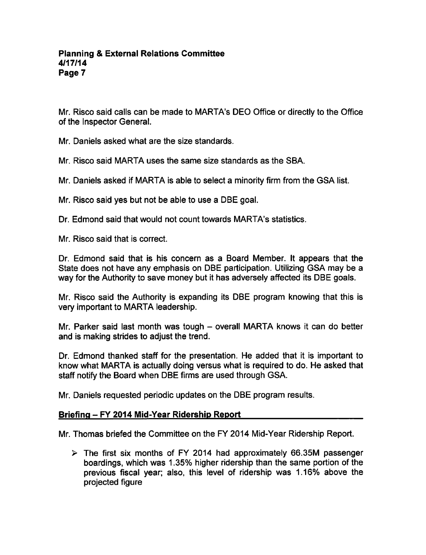Mr. Risco said calls can be made to MARTA's DEO Office or directly to the Office of the Inspector General.

Mr. Daniels asked what are the size standards.

Mr. Risco said MARTA uses the same size standards as the SBA.

Mr. Daniels asked if MARTA is able to select a minority firm from the GSA list.

Mr. Risco said yes but not be able to use a DBE goal.

Dr. Edmond said that would not count towards MARTA's statistics.

Mr. Risco said that is correct.

Dr. Edmond said that is his concern as a Board Member. It appears that the State does not have any emphasis on DBE participation. Utilizing GSA may be way for the Authority to save money but it has adversely affected its DBE goals.

Mr. Risco said the Authority is expanding its DBE program knowing that this is very important to MARTA leadership.

Mr. Parker said last month was tough  $-$  overall MARTA knows it can do better and is making strides to adjust the trend.

Dr. Edmond thanked staff for the presentation. He added that it is important to know what MARTA is actually doing versus what is required to do. He asked that staff notify the Board when DBE firms are used through GSA.

Mr. Daniels requested periodic updates on the DBE program results.

#### Briefing - FY 2014 Mid-Year Ridership Report

Mr. Thomas briefed the Committee on the FY 2014 Mid-Year Ridership Report.

 $\geq$  The first six months of FY 2014 had approximately 66.35M passenger boardings, which was 1.35% higher ridership than the same portion of the previous fiscal year; also, this level of ridership was 1.16% above the projected figure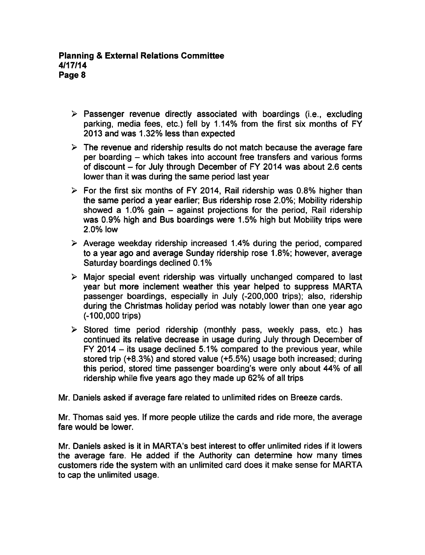- $\triangleright$  Passenger revenue directly associated with boardings (i.e., excluding parking, media fees, etc.) fell by 1.14% from the first six months of FY 2013 and was 1.32% less than expected
- $\triangleright$  The revenue and ridership results do not match because the average fare per boarding – which takes into account free transfers and various forms of discount  $-$  for July through December of FY 2014 was about 2.6 cents lower than it was during the same period last year
- $\triangleright$  For the first six months of FY 2014, Rail ridership was 0.8% higher than the same period a year earlier; Bus ridership rose 2.0%; Mobility ridership showed a 1.0% gain  $-$  against projections for the period. Rail ridership was 0.9% high and Bus boardings were 1.5% high but Mobility trips were 2.0% low
- $\geq$  Average weekday ridership increased 1.4% during the period, compared to a vear ago and average Sunday ridership rose 1.8%; however, average Saturday boardings declined 0.1%
- $\triangleright$  Major special event ridership was virtually unchanged compared to last year but more inclement weather this year helped to suppress MARTA passenger boardings, especially in July (-200,000 trips); also, ridership during the Christmas holiday period was notably lower than one year ago (-100,000 trips)
- $\triangleright$  Stored time period ridership (monthly pass, weekly pass, etc.) has continued its relative decrease in usage during July through December of FY 2014  $-$  its usage declined 5.1% compared to the previous year, while stored trip (+8.3%) and stored value (+5.5%) usage both increased; during this period, stored time passenger boarding's were only about 44% of all ridership while five years ago they made up 62% of all trips

Mr. Daniels asked if average fare related to unlimited rides on Breeze cards.

Mr. Thomas said yes. If more people utilize the cards and ride more, the average fare would be lower.

Mr. Daniels asked is it in MARTA's best interest to offer unlimited rides if it lowers the average fare. He added if the Authority can determine how many times customers ride the system with an unlimited card does it make sense for MARTA to cap the unlimited usage.